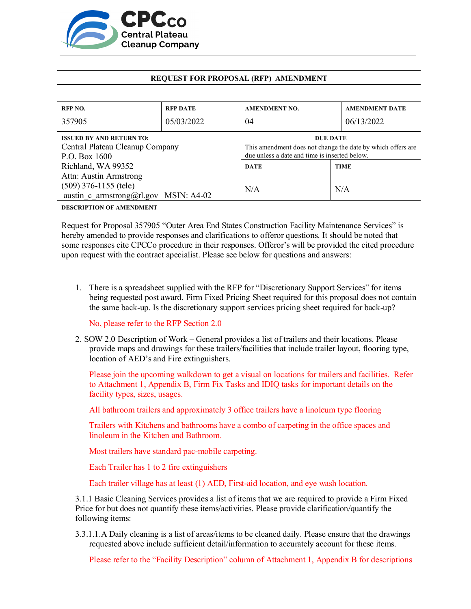

## **REQUEST FOR PROPOSAL (RFP) AMENDMENT**

| RFP NO.                                                                             | <b>RFP DATE</b> | <b>AMENDMENT NO.</b>                                                                                                            | <b>AMENDMENT DATE</b> |
|-------------------------------------------------------------------------------------|-----------------|---------------------------------------------------------------------------------------------------------------------------------|-----------------------|
| 357905                                                                              | 05/03/2022      | 04                                                                                                                              | 06/13/2022            |
| <b>ISSUED BY AND RETURN TO:</b><br>Central Plateau Cleanup Company<br>P.O. Box 1600 |                 | <b>DUE DATE</b><br>This amendment does not change the date by which offers are<br>due unless a date and time is inserted below. |                       |
| Richland, WA 99352                                                                  |                 | <b>DATE</b>                                                                                                                     | <b>TIME</b>           |
| Attn: Austin Armstrong                                                              |                 |                                                                                                                                 |                       |
| $(509)$ 376-1155 (tele)<br>austin c armstrong@rl.gov MSIN: A4-02                    |                 | N/A                                                                                                                             | N/A                   |

**DESCRIPTION OF AMENDMENT**

Request for Proposal 357905 "Outer Area End States Construction Facility Maintenance Services" is hereby amended to provide responses and clarifications to offeror questions. It should be noted that some responses cite CPCCo procedure in their responses. Offeror's will be provided the cited procedure upon request with the contract apecialist. Please see below for questions and answers:

1. There is a spreadsheet supplied with the RFP for "Discretionary Support Services" for items being requested post award. Firm Fixed Pricing Sheet required for this proposal does not contain the same back-up. Is the discretionary support services pricing sheet required for back-up?

No, please refer to the RFP Section 2.0

2. SOW 2.0 Description of Work – General provides a list of trailers and their locations. Please provide maps and drawings for these trailers/facilities that include trailer layout, flooring type, location of AED's and Fire extinguishers.

Please join the upcoming walkdown to get a visual on locations for trailers and facilities. Refer to Attachment 1, Appendix B, Firm Fix Tasks and IDIQ tasks for important details on the facility types, sizes, usages.

All bathroom trailers and approximately 3 office trailers have a linoleum type flooring

Trailers with Kitchens and bathrooms have a combo of carpeting in the office spaces and linoleum in the Kitchen and Bathroom.

Most trailers have standard pac-mobile carpeting.

Each Trailer has 1 to 2 fire extinguishers

Each trailer village has at least (1) AED, First-aid location, and eye wash location.

3.1.1 Basic Cleaning Services provides a list of items that we are required to provide a Firm Fixed Price for but does not quantify these items/activities. Please provide clarification/quantify the following items:

3.3.1.1.A Daily cleaning is a list of areas/items to be cleaned daily. Please ensure that the drawings requested above include sufficient detail/information to accurately account for these items.

Please refer to the "Facility Description" column of Attachment 1, Appendix B for descriptions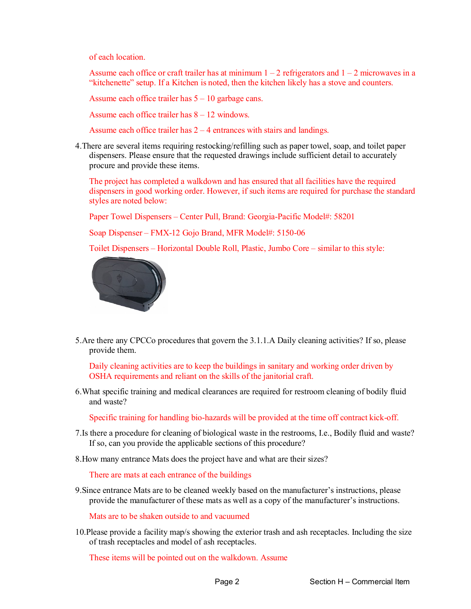of each location.

Assume each office or craft trailer has at minimum  $1 - 2$  refrigerators and  $1 - 2$  microwaves in a "kitchenette" setup. If a Kitchen is noted, then the kitchen likely has a stove and counters.

Assume each office trailer has  $5 - 10$  garbage cans.

Assume each office trailer has 8 – 12 windows.

Assume each office trailer has  $2 - 4$  entrances with stairs and landings.

4.There are several items requiring restocking/refilling such as paper towel, soap, and toilet paper dispensers. Please ensure that the requested drawings include sufficient detail to accurately procure and provide these items.

The project has completed a walkdown and has ensured that all facilities have the required dispensers in good working order. However, if such items are required for purchase the standard styles are noted below:

Paper Towel Dispensers – Center Pull, Brand: Georgia-Pacific Model#: 58201

Soap Dispenser – FMX-12 Gojo Brand, MFR Model#: 5150-06

Toilet Dispensers – Horizontal Double Roll, Plastic, Jumbo Core – similar to this style:



5.Are there any CPCCo procedures that govern the 3.1.1.A Daily cleaning activities? If so, please provide them.

Daily cleaning activities are to keep the buildings in sanitary and working order driven by OSHA requirements and reliant on the skills of the janitorial craft.

6.What specific training and medical clearances are required for restroom cleaning of bodily fluid and waste?

Specific training for handling bio-hazards will be provided at the time off contract kick-off.

- 7.Is there a procedure for cleaning of biological waste in the restrooms, I.e., Bodily fluid and waste? If so, can you provide the applicable sections of this procedure?
- 8.How many entrance Mats does the project have and what are their sizes?

There are mats at each entrance of the buildings

9.Since entrance Mats are to be cleaned weekly based on the manufacturer's instructions, please provide the manufacturer of these mats as well as a copy of the manufacturer's instructions.

Mats are to be shaken outside to and vacuumed

10.Please provide a facility map/s showing the exterior trash and ash receptacles. Including the size of trash receptacles and model of ash receptacles.

These items will be pointed out on the walkdown. Assume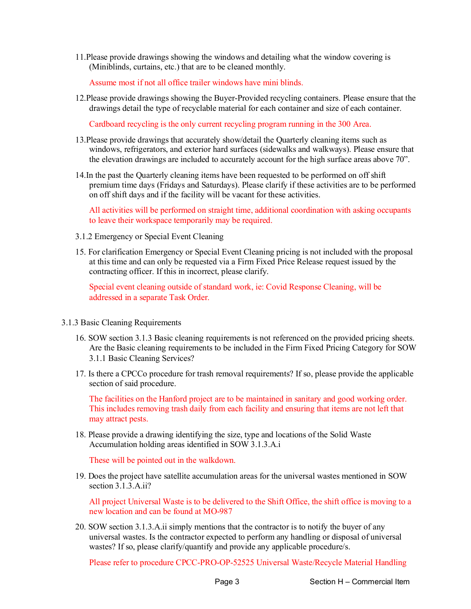11.Please provide drawings showing the windows and detailing what the window covering is (Miniblinds, curtains, etc.) that are to be cleaned monthly.

Assume most if not all office trailer windows have mini blinds.

12.Please provide drawings showing the Buyer-Provided recycling containers. Please ensure that the drawings detail the type of recyclable material for each container and size of each container.

Cardboard recycling is the only current recycling program running in the 300 Area.

- 13.Please provide drawings that accurately show/detail the Quarterly cleaning items such as windows, refrigerators, and exterior hard surfaces (sidewalks and walkways). Please ensure that the elevation drawings are included to accurately account for the high surface areas above 70".
- 14.In the past the Quarterly cleaning items have been requested to be performed on off shift premium time days (Fridays and Saturdays). Please clarify if these activities are to be performed on off shift days and if the facility will be vacant for these activities.

All activities will be performed on straight time, additional coordination with asking occupants to leave their workspace temporarily may be required.

- 3.1.2 Emergency or Special Event Cleaning
- 15. For clarification Emergency or Special Event Cleaning pricing is not included with the proposal at this time and can only be requested via a Firm Fixed Price Release request issued by the contracting officer. If this in incorrect, please clarify.

Special event cleaning outside of standard work, ie: Covid Response Cleaning, will be addressed in a separate Task Order.

- 3.1.3 Basic Cleaning Requirements
	- 16. SOW section 3.1.3 Basic cleaning requirements is not referenced on the provided pricing sheets. Are the Basic cleaning requirements to be included in the Firm Fixed Pricing Category for SOW 3.1.1 Basic Cleaning Services?
	- 17. Is there a CPCCo procedure for trash removal requirements? If so, please provide the applicable section of said procedure.

The facilities on the Hanford project are to be maintained in sanitary and good working order. This includes removing trash daily from each facility and ensuring that items are not left that may attract pests.

18. Please provide a drawing identifying the size, type and locations of the Solid Waste Accumulation holding areas identified in SOW 3.1.3.A.i

These will be pointed out in the walkdown.

19. Does the project have satellite accumulation areas for the universal wastes mentioned in SOW section 3.1.3.A.ii?

All project Universal Waste is to be delivered to the Shift Office, the shift office is moving to a new location and can be found at MO-987

20. SOW section 3.1.3.A.ii simply mentions that the contractor is to notify the buyer of any universal wastes. Is the contractor expected to perform any handling or disposal of universal wastes? If so, please clarify/quantify and provide any applicable procedure/s.

Please refer to procedure CPCC-PRO-OP-52525 Universal Waste/Recycle Material Handling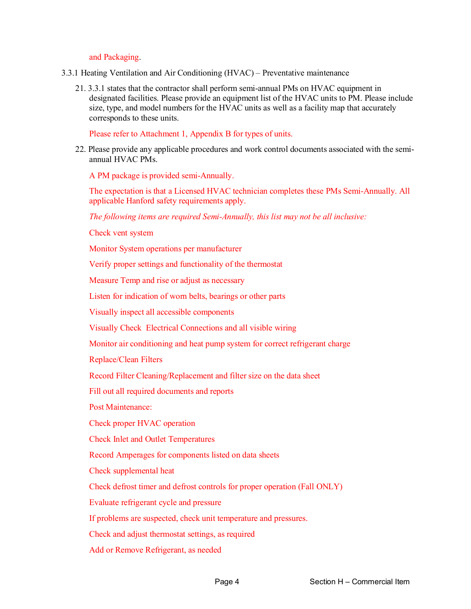## and Packaging.

- 3.3.1 Heating Ventilation and Air Conditioning (HVAC) Preventative maintenance
	- 21. 3.3.1 states that the contractor shall perform semi-annual PMs on HVAC equipment in designated facilities. Please provide an equipment list of the HVAC units to PM. Please include size, type, and model numbers for the HVAC units as well as a facility map that accurately corresponds to these units.

Please refer to Attachment 1, Appendix B for types of units.

22. Please provide any applicable procedures and work control documents associated with the semiannual HVAC PMs.

A PM package is provided semi-Annually.

The expectation is that a Licensed HVAC technician completes these PMs Semi-Annually. All applicable Hanford safety requirements apply.

*The following items are required Semi-Annually, this list may not be all inclusive:*

Check vent system

Monitor System operations per manufacturer

Verify proper settings and functionality of the thermostat

Measure Temp and rise or adjust as necessary

Listen for indication of worn belts, bearings or other parts

Visually inspect all accessible components

Visually Check Electrical Connections and all visible wiring

Monitor air conditioning and heat pump system for correct refrigerant charge

Replace/Clean Filters

Record Filter Cleaning/Replacement and filter size on the data sheet

Fill out all required documents and reports

Post Maintenance:

Check proper HVAC operation

Check Inlet and Outlet Temperatures

Record Amperages for components listed on data sheets

Check supplemental heat

Check defrost timer and defrost controls for proper operation (Fall ONLY)

Evaluate refrigerant cycle and pressure

If problems are suspected, check unit temperature and pressures.

Check and adjust thermostat settings, as required

Add or Remove Refrigerant, as needed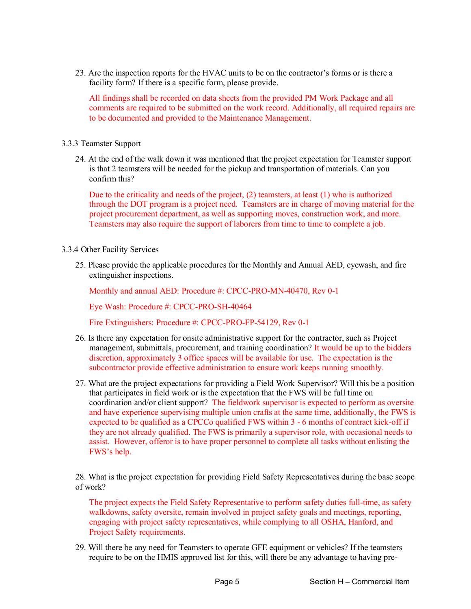23. Are the inspection reports for the HVAC units to be on the contractor's forms or is there a facility form? If there is a specific form, please provide.

All findings shall be recorded on data sheets from the provided PM Work Package and all comments are required to be submitted on the work record. Additionally, all required repairs are to be documented and provided to the Maintenance Management.

## 3.3.3 Teamster Support

24. At the end of the walk down it was mentioned that the project expectation for Teamster support is that 2 teamsters will be needed for the pickup and transportation of materials. Can you confirm this?

Due to the criticality and needs of the project,  $(2)$  teamsters, at least  $(1)$  who is authorized through the DOT program is a project need. Teamsters are in charge of moving material for the project procurement department, as well as supporting moves, construction work, and more. Teamsters may also require the support of laborers from time to time to complete a job.

- 3.3.4 Other Facility Services
	- 25. Please provide the applicable procedures for the Monthly and Annual AED, eyewash, and fire extinguisher inspections.

Monthly and annual AED: Procedure #: CPCC-PRO-MN-40470, Rev 0-1

Eye Wash: Procedure #: CPCC-PRO-SH-40464

Fire Extinguishers: Procedure #: CPCC-PRO-FP-54129, Rev 0-1

- 26. Is there any expectation for onsite administrative support for the contractor, such as Project management, submittals, procurement, and training coordination? It would be up to the bidders discretion, approximately 3 office spaces will be available for use. The expectation is the subcontractor provide effective administration to ensure work keeps running smoothly.
- 27. What are the project expectations for providing a Field Work Supervisor? Will this be a position that participates in field work or is the expectation that the FWS will be full time on coordination and/or client support? The fieldwork supervisor is expected to perform as oversite and have experience supervising multiple union crafts at the same time, additionally, the FWS is expected to be qualified as a CPCCo qualified FWS within 3 - 6 months of contract kick-off if they are not already qualified. The FWS is primarily a supervisor role, with occasional needs to assist. However, offeror is to have proper personnel to complete all tasks without enlisting the FWS's help.

28. What is the project expectation for providing Field Safety Representatives during the base scope of work?

The project expects the Field Safety Representative to perform safety duties full-time, as safety walkdowns, safety oversite, remain involved in project safety goals and meetings, reporting, engaging with project safety representatives, while complying to all OSHA, Hanford, and Project Safety requirements.

29. Will there be any need for Teamsters to operate GFE equipment or vehicles? If the teamsters require to be on the HMIS approved list for this, will there be any advantage to having pre